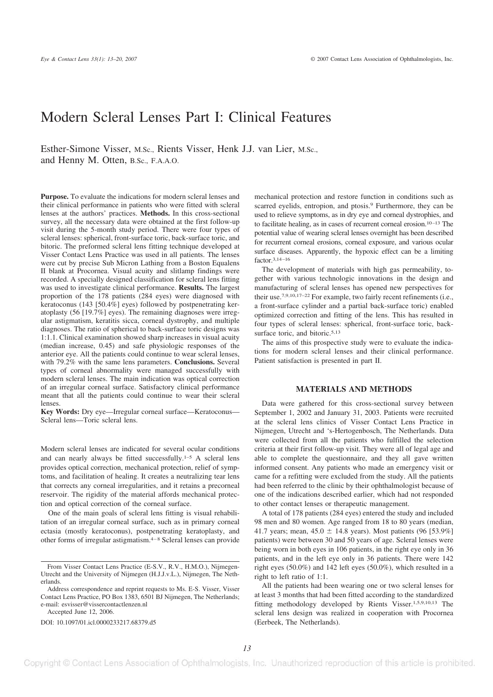# Modern Scleral Lenses Part I: Clinical Features

Esther-Simone Visser, M.Sc., Rients Visser, Henk J.J. van Lier, M.Sc., and Henny M. Otten, B.Sc., F.A.A.O.

**Purpose.** To evaluate the indications for modern scleral lenses and their clinical performance in patients who were fitted with scleral lenses at the authors' practices. **Methods.** In this cross-sectional survey, all the necessary data were obtained at the first follow-up visit during the 5-month study period. There were four types of scleral lenses: spherical, front-surface toric, back-surface toric, and bitoric. The preformed scleral lens fitting technique developed at Visser Contact Lens Practice was used in all patients. The lenses were cut by precise Sub Micron Lathing from a Boston Equalens II blank at Procornea. Visual acuity and slitlamp findings were recorded. A specially designed classification for scleral lens fitting was used to investigate clinical performance. **Results.** The largest proportion of the 178 patients (284 eyes) were diagnosed with keratoconus (143 [50.4%] eyes) followed by postpenetrating keratoplasty (56 [19.7%] eyes). The remaining diagnoses were irregular astigmatism, keratitis sicca, corneal dystrophy, and multiple diagnoses. The ratio of spherical to back-surface toric designs was 1:1.1. Clinical examination showed sharp increases in visual acuity (median increase, 0.45) and safe physiologic responses of the anterior eye. All the patients could continue to wear scleral lenses, with 79.2% with the same lens parameters. **Conclusions.** Several types of corneal abnormality were managed successfully with modern scleral lenses. The main indication was optical correction of an irregular corneal surface. Satisfactory clinical performance meant that all the patients could continue to wear their scleral lenses.

**Key Words:** Dry eye—Irregular corneal surface—Keratoconus— Scleral lens—Toric scleral lens.

Modern scleral lenses are indicated for several ocular conditions and can nearly always be fitted successfully.<sup>1–5</sup> A scleral lens provides optical correction, mechanical protection, relief of symptoms, and facilitation of healing. It creates a neutralizing tear lens that corrects any corneal irregularities, and it retains a precorneal reservoir. The rigidity of the material affords mechanical protection and optical correction of the corneal surface.

One of the main goals of scleral lens fitting is visual rehabilitation of an irregular corneal surface, such as in primary corneal ectasia (mostly keratoconus), postpenetrating keratoplasty, and other forms of irregular astigmatism.4–8 Scleral lenses can provide

Accepted June 12, 2006.

DOI: 10.1097/01.icl.0000233217.68379.d5

mechanical protection and restore function in conditions such as scarred eyelids, entropion, and ptosis.<sup>9</sup> Furthermore, they can be used to relieve symptoms, as in dry eye and corneal dystrophies, and to facilitate healing, as in cases of recurrent corneal erosion.10–13 The potential value of wearing scleral lenses overnight has been described for recurrent corneal erosions, corneal exposure, and various ocular surface diseases. Apparently, the hypoxic effect can be a limiting factor.3,14–16

The development of materials with high gas permeability, together with various technologic innovations in the design and manufacturing of scleral lenses has opened new perspectives for their use.7,9,10,17–22 For example, two fairly recent refinements (i.e., a front-surface cylinder and a partial back-surface toric) enabled optimized correction and fitting of the lens. This has resulted in four types of scleral lenses: spherical, front-surface toric, backsurface toric, and bitoric.<sup>5,13</sup>

The aims of this prospective study were to evaluate the indications for modern scleral lenses and their clinical performance. Patient satisfaction is presented in part II.

# **MATERIALS AND METHODS**

Data were gathered for this cross-sectional survey between September 1, 2002 and January 31, 2003. Patients were recruited at the scleral lens clinics of Visser Contact Lens Practice in Nijmegen, Utrecht and 's-Hertogenbosch, The Netherlands. Data were collected from all the patients who fulfilled the selection criteria at their first follow-up visit. They were all of legal age and able to complete the questionnaire, and they all gave written informed consent. Any patients who made an emergency visit or came for a refitting were excluded from the study. All the patients had been referred to the clinic by their ophthalmologist because of one of the indications described earlier, which had not responded to other contact lenses or therapeutic management.

A total of 178 patients (284 eyes) entered the study and included 98 men and 80 women. Age ranged from 18 to 80 years (median, 41.7 years; mean,  $45.0 \pm 14.8$  years). Most patients (96 [53.9%] patients) were between 30 and 50 years of age. Scleral lenses were being worn in both eyes in 106 patients, in the right eye only in 36 patients, and in the left eye only in 36 patients. There were 142 right eyes (50.0%) and 142 left eyes (50.0%), which resulted in a right to left ratio of 1:1.

All the patients had been wearing one or two scleral lenses for at least 3 months that had been fitted according to the standardized fitting methodology developed by Rients Visser.1,5,9,10,13 The scleral lens design was realized in cooperation with Procornea (Eerbeek, The Netherlands).

From Visser Contact Lens Practice (E-S.V., R.V., H.M.O.), Nijmegen-Utrecht and the University of Nijmegen (H.J.J.v.L.), Nijmegen, The Netherlands.

Address correspondence and reprint requests to Ms. E-S. Visser, Visser Contact Lens Practice, PO Box 1383, 6501 BJ Nijmegen, The Netherlands; e-mail: esvisser@vissercontactlenzen.nl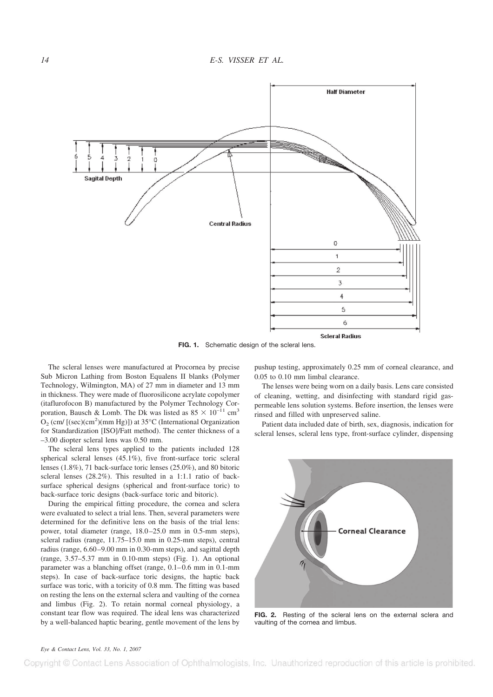

**FIG. 1.** Schematic design of the scleral lens.

The scleral lenses were manufactured at Procornea by precise Sub Micron Lathing from Boston Equalens II blanks (Polymer Technology, Wilmington, MA) of 27 mm in diameter and 13 mm in thickness. They were made of fluorosilicone acrylate copolymer (itaflurofocon B) manufactured by the Polymer Technology Corporation, Bausch & Lomb. The Dk was listed as  $85 \times 10^{-11}$  cm<sup>3</sup>  $O_2$  (cm/ [(sec)(cm<sup>2</sup>)(mm Hg)]) at 35°C (International Organization for Standardization [ISO]/Fatt method). The center thickness of a –3.00 diopter scleral lens was 0.50 mm.

The scleral lens types applied to the patients included 128 spherical scleral lenses (45.1%), five front-surface toric scleral lenses (1.8%), 71 back-surface toric lenses (25.0%), and 80 bitoric scleral lenses (28.2%). This resulted in a 1:1.1 ratio of backsurface spherical designs (spherical and front-surface toric) to back-surface toric designs (back-surface toric and bitoric).

During the empirical fitting procedure, the cornea and sclera were evaluated to select a trial lens. Then, several parameters were determined for the definitive lens on the basis of the trial lens: power, total diameter (range, 18.0–25.0 mm in 0.5-mm steps), scleral radius (range, 11.75–15.0 mm in 0.25-mm steps), central radius (range, 6.60–9.00 mm in 0.30-mm steps), and sagittal depth (range, 3.57–5.37 mm in 0.10-mm steps) (Fig. 1). An optional parameter was a blanching offset (range, 0.1–0.6 mm in 0.1-mm steps). In case of back-surface toric designs, the haptic back surface was toric, with a toricity of 0.8 mm. The fitting was based on resting the lens on the external sclera and vaulting of the cornea and limbus (Fig. 2). To retain normal corneal physiology, a constant tear flow was required. The ideal lens was characterized by a well-balanced haptic bearing, gentle movement of the lens by pushup testing, approximately 0.25 mm of corneal clearance, and 0.05 to 0.10 mm limbal clearance.

The lenses were being worn on a daily basis. Lens care consisted of cleaning, wetting, and disinfecting with standard rigid gaspermeable lens solution systems. Before insertion, the lenses were rinsed and filled with unpreserved saline.

Patient data included date of birth, sex, diagnosis, indication for scleral lenses, scleral lens type, front-surface cylinder, dispensing



**FIG. 2.** Resting of the scleral lens on the external sclera and vaulting of the cornea and limbus.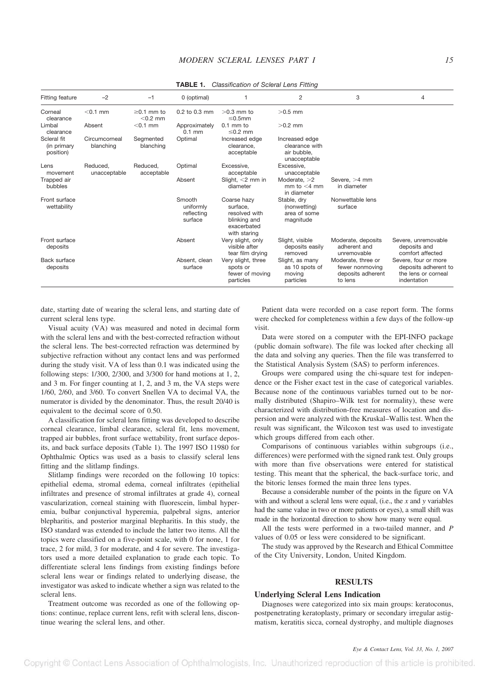| <i>Chappingation of Octoral Long Fighty</i> |                            |                                |                                              |                                                                                         |                                                                 |                                                                       |                                                                                    |  |  |  |
|---------------------------------------------|----------------------------|--------------------------------|----------------------------------------------|-----------------------------------------------------------------------------------------|-----------------------------------------------------------------|-----------------------------------------------------------------------|------------------------------------------------------------------------------------|--|--|--|
| <b>Fitting feature</b>                      | $-2$                       | $-1$                           | 0 (optimal)                                  |                                                                                         | 2                                                               | 3                                                                     | 4                                                                                  |  |  |  |
| Corneal<br>clearance                        | $<$ 0.1 mm                 | $\geq$ 0.1 mm to<br>$<$ 0.2 mm | 0.2 to 0.3 mm                                | $>0.3$ mm to<br>$\leq 0.5$ mm                                                           | $>0.5$ mm                                                       |                                                                       |                                                                                    |  |  |  |
| Limbal<br>clearance                         | Absent                     | $<$ 0.1 mm                     | Approximately<br>$0.1$ mm                    | $0.1$ mm to<br>$\leq$ 0.2 mm                                                            | $>0.2$ mm                                                       |                                                                       |                                                                                    |  |  |  |
| Scleral fit<br>(in primary<br>position)     | Circumcorneal<br>blanching | Segmented<br>blanching         | Optimal                                      | Increased edge<br>clearance.<br>acceptable                                              | Increased edge<br>clearance with<br>air bubble.<br>unacceptable |                                                                       |                                                                                    |  |  |  |
| Lens<br>movement                            | Reduced.<br>unacceptable   | Reduced.<br>acceptable         | Optimal                                      | Excessive.<br>acceptable                                                                | Excessive.<br>unacceptable                                      |                                                                       |                                                                                    |  |  |  |
| Trapped air<br>bubbles                      |                            |                                | Absent                                       | Slight, $<$ 2 mm in<br>diameter                                                         | Moderate, $>2$<br>mm to $<$ 4 mm<br>in diameter                 | Severe, $>4$ mm<br>in diameter                                        |                                                                                    |  |  |  |
| Front surface<br>wettability                |                            |                                | Smooth<br>uniformly<br>reflecting<br>surface | Coarse hazy<br>surface,<br>resolved with<br>blinking and<br>exacerbated<br>with staring | Stable, dry<br>(nonwetting)<br>area of some<br>magnitude        | Nonwettable lens<br>surface                                           |                                                                                    |  |  |  |
| Front surface<br>deposits                   |                            |                                | Absent                                       | Very slight, only<br>visible after<br>tear film drying                                  | Slight, visible<br>deposits easily<br>removed                   | Moderate, deposits<br>adherent and<br>unremovable                     | Severe, unremovable<br>deposits and<br>comfort affected                            |  |  |  |
| Back surface<br>deposits                    |                            |                                | Absent, clean<br>surface                     | Very slight, three<br>spots or<br>fewer of moving<br>particles                          | Slight, as many<br>as 10 spots of<br>moving<br>particles        | Moderate, three or<br>fewer nonmoving<br>deposits adherent<br>to lens | Severe, four or more<br>deposits adherent to<br>the lens or corneal<br>indentation |  |  |  |

**TABLE 1.** *Classification of Scleral Lens Fitting*

date, starting date of wearing the scleral lens, and starting date of current scleral lens type.

Visual acuity (VA) was measured and noted in decimal form with the scleral lens and with the best-corrected refraction without the scleral lens. The best-corrected refraction was determined by subjective refraction without any contact lens and was performed during the study visit. VA of less than 0.1 was indicated using the following steps: 1/300, 2/300, and 3/300 for hand motions at 1, 2, and 3 m. For finger counting at 1, 2, and 3 m, the VA steps were 1/60, 2/60, and 3/60. To convert Snellen VA to decimal VA, the numerator is divided by the denominator. Thus, the result 20/40 is equivalent to the decimal score of 0.50.

A classification for scleral lens fitting was developed to describe corneal clearance, limbal clearance, scleral fit, lens movement, trapped air bubbles, front surface wettability, front surface deposits, and back surface deposits (Table 1). The 1997 ISO 11980 for Ophthalmic Optics was used as a basis to classify scleral lens fitting and the slitlamp findings.

Slitlamp findings were recorded on the following 10 topics: epithelial edema, stromal edema, corneal infiltrates (epithelial infiltrates and presence of stromal infiltrates at grade 4), corneal vascularization, corneal staining with fluorescein, limbal hyperemia, bulbar conjunctival hyperemia, palpebral signs, anterior blepharitis, and posterior marginal blepharitis. In this study, the ISO standard was extended to include the latter two items. All the topics were classified on a five-point scale, with 0 for none, 1 for trace, 2 for mild, 3 for moderate, and 4 for severe. The investigators used a more detailed explanation to grade each topic. To differentiate scleral lens findings from existing findings before scleral lens wear or findings related to underlying disease, the investigator was asked to indicate whether a sign was related to the scleral lens.

Treatment outcome was recorded as one of the following options: continue, replace current lens, refit with scleral lens, discontinue wearing the scleral lens, and other.

Patient data were recorded on a case report form. The forms were checked for completeness within a few days of the follow-up visit.

Data were stored on a computer with the EPI-INFO package (public domain software). The file was locked after checking all the data and solving any queries. Then the file was transferred to the Statistical Analysis System (SAS) to perform inferences.

Groups were compared using the chi-square test for independence or the Fisher exact test in the case of categorical variables. Because none of the continuous variables turned out to be normally distributed (Shapiro–Wilk test for normality), these were characterized with distribution-free measures of location and dispersion and were analyzed with the Kruskal–Wallis test. When the result was significant, the Wilcoxon test was used to investigate which groups differed from each other.

Comparisons of continuous variables within subgroups (i.e., differences) were performed with the signed rank test. Only groups with more than five observations were entered for statistical testing. This meant that the spherical, the back-surface toric, and the bitoric lenses formed the main three lens types.

Because a considerable number of the points in the figure on VA with and without a scleral lens were equal, (i.e., the *x* and *y* variables had the same value in two or more patients or eyes), a small shift was made in the horizontal direction to show how many were equal.

All the tests were performed in a two-tailed manner, and *P* values of 0.05 or less were considered to be significant.

The study was approved by the Research and Ethical Committee of the City University, London, United Kingdom.

# **RESULTS**

## **Underlying Scleral Lens Indication**

Diagnoses were categorized into six main groups: keratoconus, postpenetrating keratoplasty, primary or secondary irregular astigmatism, keratitis sicca, corneal dystrophy, and multiple diagnoses

#### *Eye & Contact Lens, Vol. 33, No. 1, 2007*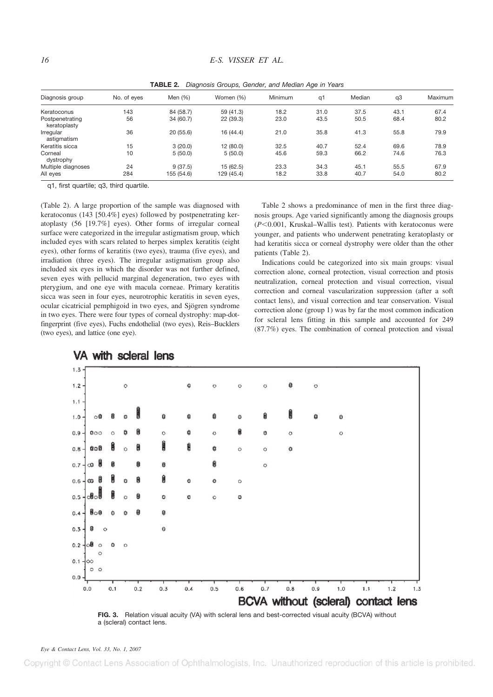| Diagnosis group                 | No. of eyes | Men $(%)$  | Women (%)  | <b>Minimum</b> | q1   | Median | q3   | Maximum |  |
|---------------------------------|-------------|------------|------------|----------------|------|--------|------|---------|--|
| Keratoconus                     | 143         | 84 (58.7)  | 59 (41.3)  | 18.2           | 31.0 | 37.5   | 43.1 | 67.4    |  |
| Postpenetrating<br>keratoplasty | 56          | 34 (60.7)  | 22 (39.3)  | 23.0           | 43.5 | 50.5   | 68.4 | 80.2    |  |
| Irregular<br>astigmatism        | 36          | 20(55.6)   | 16 (44.4)  | 21.0           | 35.8 | 41.3   | 55.8 | 79.9    |  |
| Keratitis sicca                 | 15          | 3(20.0)    | 12 (80.0)  | 32.5           | 40.7 | 52.4   | 69.6 | 78.9    |  |
| Corneal<br>dystrophy            | 10          | 5(50.0)    | 5(50.0)    | 45.6           | 59.3 | 66.2   | 74.6 | 76.3    |  |
| Multiple diagnoses              | 24          | 9(37.5)    | 15 (62.5)  | 23.3           | 34.3 | 45.1   | 55.5 | 67.9    |  |
| All eyes                        | 284         | 155 (54.6) | 129 (45.4) | 18.2           | 33.8 | 40.7   | 54.0 | 80.2    |  |

**TABLE 2.** *Diagnosis Groups, Gender, and Median Age in Years*

q1, first quartile; q3, third quartile.

(Table 2). A large proportion of the sample was diagnosed with keratoconus (143 [50.4%] eyes) followed by postpenetrating keratoplasty (56 [19.7%] eyes). Other forms of irregular corneal surface were categorized in the irregular astigmatism group, which included eyes with scars related to herpes simplex keratitis (eight eyes), other forms of keratitis (two eyes), trauma (five eyes), and irradiation (three eyes). The irregular astigmatism group also included six eyes in which the disorder was not further defined, seven eyes with pellucid marginal degeneration, two eyes with pterygium, and one eye with macula corneae. Primary keratitis sicca was seen in four eyes, neurotrophic keratitis in seven eyes, ocular cicatricial pemphigoid in two eyes, and Sjögren syndrome in two eyes. There were four types of corneal dystrophy: map-dotfingerprint (five eyes), Fuchs endothelial (two eyes), Reis–Bucklers (two eyes), and lattice (one eye).

Table 2 shows a predominance of men in the first three diagnosis groups. Age varied significantly among the diagnosis groups  $(P<0.001$ , Kruskal–Wallis test). Patients with keratoconus were younger, and patients who underwent penetrating keratoplasty or had keratitis sicca or corneal dystrophy were older than the other patients (Table 2).

Indications could be categorized into six main groups: visual correction alone, corneal protection, visual correction and ptosis neutralization, corneal protection and visual correction, visual correction and corneal vascularization suppression (after a soft contact lens), and visual correction and tear conservation. Visual correction alone (group 1) was by far the most common indication for scleral lens fitting in this sample and accounted for 249 (87.7%) eyes. The combination of corneal protection and visual



# VA with scleral lens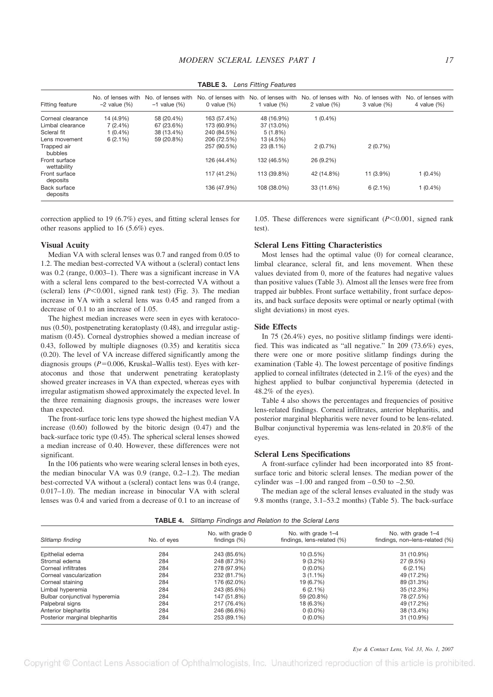| Fitting feature              | No. of lenses with<br>$-2$ value $(% )$ | No. of lenses with<br>$-1$ value $(% )$ | No. of lenses with<br>0 value $(\%)$ | No. of lenses with<br>1 value $(\%)$ | No. of lenses with<br>2 value $(\%)$ | No. of lenses with<br>$3$ value $(\%)$ | No. of lenses with<br>4 value $(\%)$ |
|------------------------------|-----------------------------------------|-----------------------------------------|--------------------------------------|--------------------------------------|--------------------------------------|----------------------------------------|--------------------------------------|
| Corneal clearance            | 14 (4.9%)                               | 58 (20.4%)                              | 163 (57.4%)                          | 48 (16.9%)                           | $1(0.4\%)$                           |                                        |                                      |
| Limbal clearance             | $7(2.4\%)$                              | 67 (23.6%)                              | 173 (60.9%)                          | 37 (13.0%)                           |                                      |                                        |                                      |
| Scleral fit                  | $1(0.4\%)$                              | 38 (13.4%)                              | 240 (84.5%)                          | $5(1.8\%)$                           |                                      |                                        |                                      |
| Lens movement                | $6(2.1\%)$                              | 59 (20.8%)                              | 206 (72.5%)                          | 13 (4.5%)                            |                                      |                                        |                                      |
| Trapped air<br>bubbles       |                                         |                                         | 257 (90.5%)                          | 23 (8.1%)                            | 2(0.7%)                              | 2(0.7%)                                |                                      |
| Front surface<br>wettability |                                         |                                         | 126 (44.4%)                          | 132 (46.5%)                          | 26 (9.2%)                            |                                        |                                      |
| Front surface<br>deposits    |                                         |                                         | 117 (41.2%)                          | 113 (39.8%)                          | 42 (14.8%)                           | 11 (3.9%)                              | $1(0.4\%)$                           |
| Back surface<br>deposits     |                                         |                                         | 136 (47.9%)                          | 108 (38.0%)                          | 33 (11.6%)                           | 6(2.1%)                                | $1(0.4\%)$                           |

**TABLE 3.** *Lens Fitting Features*

correction applied to 19 (6.7%) eyes, and fitting scleral lenses for other reasons applied to 16 (5.6%) eyes.

#### **Visual Acuity**

Median VA with scleral lenses was 0.7 and ranged from 0.05 to 1.2. The median best-corrected VA without a (scleral) contact lens was 0.2 (range, 0.003–1). There was a significant increase in VA with a scleral lens compared to the best-corrected VA without a (scleral) lens ( $P$ <0.001, signed rank test) (Fig. 3). The median increase in VA with a scleral lens was 0.45 and ranged from a decrease of 0.1 to an increase of 1.05.

The highest median increases were seen in eyes with keratoconus (0.50), postpenetrating keratoplasty (0.48), and irregular astigmatism (0.45). Corneal dystrophies showed a median increase of 0.43, followed by multiple diagnoses (0.35) and keratitis sicca (0.20). The level of VA increase differed significantly among the diagnosis groups  $(P=0.006$ , Kruskal–Wallis test). Eyes with keratoconus and those that underwent penetrating keratoplasty showed greater increases in VA than expected, whereas eyes with irregular astigmatism showed approximately the expected level. In the three remaining diagnosis groups, the increases were lower than expected.

The front-surface toric lens type showed the highest median VA increase (0.60) followed by the bitoric design (0.47) and the back-surface toric type (0.45). The spherical scleral lenses showed a median increase of 0.40. However, these differences were not significant.

In the 106 patients who were wearing scleral lenses in both eyes, the median binocular VA was 0.9 (range, 0.2–1.2). The median best-corrected VA without a (scleral) contact lens was 0.4 (range, 0.017–1.0). The median increase in binocular VA with scleral lenses was 0.4 and varied from a decrease of 0.1 to an increase of

1.05. These differences were significant  $(P<0.001$ , signed rank test).

#### **Scleral Lens Fitting Characteristics**

Most lenses had the optimal value (0) for corneal clearance, limbal clearance, scleral fit, and lens movement. When these values deviated from 0, more of the features had negative values than positive values (Table 3). Almost all the lenses were free from trapped air bubbles. Front surface wettability, front surface deposits, and back surface deposits were optimal or nearly optimal (with slight deviations) in most eyes.

#### **Side Effects**

In 75 (26.4%) eyes, no positive slitlamp findings were identified. This was indicated as "all negative." In 209 (73.6%) eyes, there were one or more positive slitlamp findings during the examination (Table 4). The lowest percentage of positive findings applied to corneal infiltrates (detected in 2.1% of the eyes) and the highest applied to bulbar conjunctival hyperemia (detected in 48.2% of the eyes).

Table 4 also shows the percentages and frequencies of positive lens-related findings. Corneal infiltrates, anterior blepharitis, and posterior marginal blepharitis were never found to be lens-related. Bulbar conjunctival hyperemia was lens-related in 20.8% of the eyes.

#### **Scleral Lens Specifications**

A front-surface cylinder had been incorporated into 85 frontsurface toric and bitoric scleral lenses. The median power of the cylinder was  $-1.00$  and ranged from  $-0.50$  to  $-2.50$ .

The median age of the scleral lenses evaluated in the study was 9.8 months (range, 3.1–53.2 months) (Table 5). The back-surface

| TABLE 4.<br>Slitlamp Findings and Relation to the Scleral Lens |             |                                     |                                                  |                                                      |  |  |  |  |
|----------------------------------------------------------------|-------------|-------------------------------------|--------------------------------------------------|------------------------------------------------------|--|--|--|--|
| Slitlamp finding                                               | No. of eyes | No. with grade 0<br>findings $(\%)$ | No. with grade 1-4<br>findings, lens-related (%) | No. with grade 1-4<br>findings, non-lens-related (%) |  |  |  |  |
| Epithelial edema                                               | 284         | 243 (85.6%)                         | 10 (3.5%)                                        | 31 (10.9%)                                           |  |  |  |  |
| Stromal edema                                                  | 284         | 248 (87.3%)                         | $9(3.2\%)$                                       | 27 (9.5%)                                            |  |  |  |  |
| Corneal infiltrates                                            | 284         | 278 (97.9%)                         | $0(0.0\%)$                                       | $6(2.1\%)$                                           |  |  |  |  |
| Corneal vascularization                                        | 284         | 232 (81.7%)                         | $3(1.1\%)$                                       | 49 (17.2%)                                           |  |  |  |  |
| Corneal staining                                               | 284         | 176 (62.0%)                         | 19 (6.7%)                                        | 89 (31.3%)                                           |  |  |  |  |
| Limbal hyperemia                                               | 284         | 243 (85.6%)                         | $6(2.1\%)$                                       | 35 (12.3%)                                           |  |  |  |  |
| Bulbar conjunctival hyperemia                                  | 284         | 147 (51.8%)                         | 59 (20.8%)                                       | 78 (27.5%)                                           |  |  |  |  |
| Palpebral signs                                                | 284         | 217 (76.4%)                         | 18 (6.3%)                                        | 49 (17.2%)                                           |  |  |  |  |
| Anterior blepharitis                                           | 284         | 246 (86.6%)                         | $0(0.0\%)$                                       | 38 (13.4%)                                           |  |  |  |  |
| Posterior marginal blepharitis                                 | 284         | 253 (89.1%)                         | $0(0.0\%)$                                       | 31 (10.9%)                                           |  |  |  |  |

**TABLE 4.** *Slitlamp Findings and Relation to the Scleral Lens*

#### *Eye & Contact Lens, Vol. 33, No. 1, 2007*

Copyright © Contact Lens Association of Ophthalmologists, Inc. Unauthorized reproduction of this article is prohibited.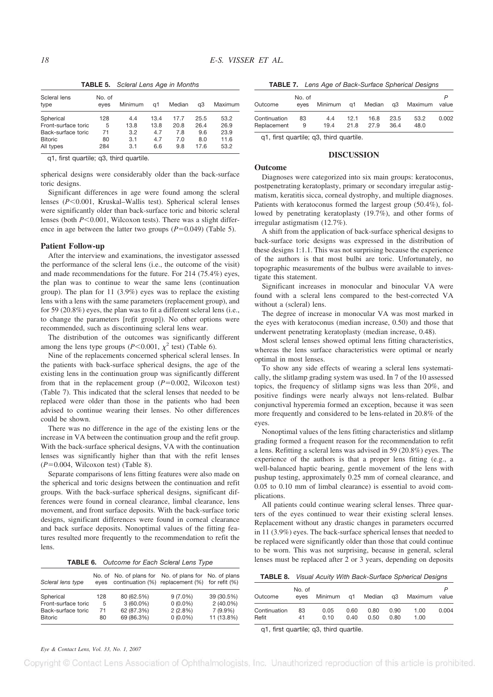Scleral lens type No. of<br>eyes Minimum q1 Median q3 Maximum Spherical 128 4.4 13.4 17.7 25.5 53.2 Front-surface toric 5 13.8 13.8 20.8 26.4 26.9 Back-surface toric 71 3.2 4.7 7.8 9.6 23.9 Bitoric 80 3.1 4.7 7.0 8.0 11.6 All types 284 3.1 6.6 9.8 17.6 53.2

**TABLE 5.** *Scleral Lens Age in Months*

q1, first quartile; q3, third quartile.

spherical designs were considerably older than the back-surface toric designs.

Significant differences in age were found among the scleral lenses ( $P$ <0.001, Kruskal–Wallis test). Spherical scleral lenses were significantly older than back-surface toric and bitoric scleral lenses (both *P*<0.001, Wilcoxon tests). There was a slight difference in age between the latter two groups  $(P=0.049)$  (Table 5).

#### **Patient Follow-up**

After the interview and examinations, the investigator assessed the performance of the scleral lens (i.e., the outcome of the visit) and made recommendations for the future. For 214 (75.4%) eyes, the plan was to continue to wear the same lens (continuation group). The plan for 11 (3.9%) eyes was to replace the existing lens with a lens with the same parameters (replacement group), and for 59 (20.8%) eyes, the plan was to fit a different scleral lens (i.e., to change the parameters [refit group]). No other options were recommended, such as discontinuing scleral lens wear.

The distribution of the outcomes was significantly different among the lens type groups ( $P < 0.001$ ,  $\chi^2$  test) (Table 6).

Nine of the replacements concerned spherical scleral lenses. In the patients with back-surface spherical designs, the age of the existing lens in the continuation group was significantly different from that in the replacement group  $(P=0.002,$  Wilcoxon test) (Table 7). This indicated that the scleral lenses that needed to be replaced were older than those in the patients who had been advised to continue wearing their lenses. No other differences could be shown.

There was no difference in the age of the existing lens or the increase in VA between the continuation group and the refit group. With the back-surface spherical designs, VA with the continuation lenses was significantly higher than that with the refit lenses  $(P=0.004$ , Wilcoxon test) (Table 8).

Separate comparisons of lens fitting features were also made on the spherical and toric designs between the continuation and refit groups. With the back-surface spherical designs, significant differences were found in corneal clearance, limbal clearance, lens movement, and front surface deposits. With the back-surface toric designs, significant differences were found in corneal clearance and back surface deposits. Nonoptimal values of the fitting features resulted more frequently to the recommendation to refit the lens.

**TABLE 6.** *Outcome for Each Scleral Lens Type*

| Scleral lens type                         | eves    |                           | No. of No. of plans for No. of plans for No. of plans<br>continuation (%) replacement (%) for refit (%) |                           |
|-------------------------------------------|---------|---------------------------|---------------------------------------------------------------------------------------------------------|---------------------------|
| Spherical                                 | 128     | 80 (62.5%)                | $9(7.0\%)$                                                                                              | 39 (30.5%)                |
| Front-surface toric<br>Back-surface toric | 5<br>71 | $3(60.0\%)$<br>62 (87.3%) | $0(0.0\%)$<br>2(2.8%)                                                                                   | $2(40.0\%)$<br>$7(9.9\%)$ |
| <b>Bitoric</b>                            | 80      | 69 (86.3%)                | $0(0.0\%)$                                                                                              | 11 (13.8%)                |

**TABLE 7.** *Lens Age of Back-Surface Spherical Designs*

| Outcome      | No. of<br>eves |      |      |      |      | Minimum q1 Median q3 Maximum value |       |
|--------------|----------------|------|------|------|------|------------------------------------|-------|
| Continuation | 83             | 4.4  | 12.1 | 16.8 | 23.5 | 53.2                               | 0.002 |
| Replacement  | 9              | 19.4 | 21.8 | 27.9 | 36.4 | 48.0                               |       |

q1, first quartile; q3, third quartile.

# **DISCUSSION**

# **Outcome**

Diagnoses were categorized into six main groups: keratoconus, postpenetrating keratoplasty, primary or secondary irregular astigmatism, keratitis sicca, corneal dystrophy, and multiple diagnoses. Patients with keratoconus formed the largest group (50.4%), followed by penetrating keratoplasty (19.7%), and other forms of irregular astigmatism (12.7%).

A shift from the application of back-surface spherical designs to back-surface toric designs was expressed in the distribution of these designs 1:1.1. This was not surprising because the experience of the authors is that most bulbi are toric. Unfortunately, no topographic measurements of the bulbus were available to investigate this statement.

Significant increases in monocular and binocular VA were found with a scleral lens compared to the best-corrected VA without a (scleral) lens.

The degree of increase in monocular VA was most marked in the eyes with keratoconus (median increase, 0.50) and those that underwent penetrating keratoplasty (median increase, 0.48).

Most scleral lenses showed optimal lens fitting characteristics, whereas the lens surface characteristics were optimal or nearly optimal in most lenses.

To show any side effects of wearing a scleral lens systematically, the slitlamp grading system was used. In 7 of the 10 assessed topics, the frequency of slitlamp signs was less than 20%, and positive findings were nearly always not lens-related. Bulbar conjunctival hyperemia formed an exception, because it was seen more frequently and considered to be lens-related in 20.8% of the eyes.

Nonoptimal values of the lens fitting characteristics and slitlamp grading formed a frequent reason for the recommendation to refit a lens. Refitting a scleral lens was advised in 59 (20.8%) eyes. The experience of the authors is that a proper lens fitting (e.g., a well-balanced haptic bearing, gentle movement of the lens with pushup testing, approximately 0.25 mm of corneal clearance, and 0.05 to 0.10 mm of limbal clearance) is essential to avoid complications.

All patients could continue wearing scleral lenses. Three quarters of the eyes continued to wear their existing scleral lenses. Replacement without any drastic changes in parameters occurred in 11 (3.9%) eyes. The back-surface spherical lenses that needed to be replaced were significantly older than those that could continue to be worn. This was not surprising, because in general, scleral lenses must be replaced after 2 or 3 years, depending on deposits

**TABLE 8.** *Visual Acuity With Back-Surface Spherical Designs*

| Outcome      | No. of<br>eves |      |      |      |      | Minimum q1 Median q3 Maximum | value |
|--------------|----------------|------|------|------|------|------------------------------|-------|
| Continuation | 83             | 0.05 | 0.60 | 0.80 | 0.90 | 1.00                         | 0.004 |
| Refit        | 41             | 0.10 | 0.40 | 0.50 | 0.80 | 1.00                         |       |

q1, first quartile; q3, third quartile.

*Eye & Contact Lens, Vol. 33, No. 1, 2007*

Copyright © Contact Lens Association of Ophthalmologists, Inc. Unauthorized reproduction of this article is prohibited.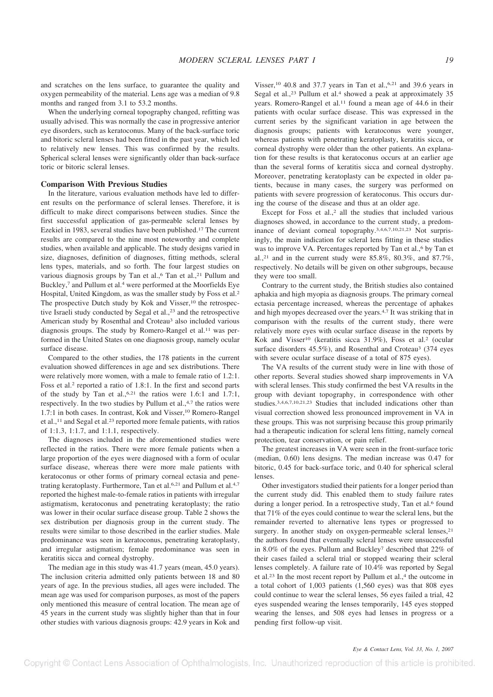and scratches on the lens surface, to guarantee the quality and oxygen permeability of the material. Lens age was a median of 9.8 months and ranged from 3.1 to 53.2 months.

When the underlying corneal topography changed, refitting was usually advised. This was normally the case in progressive anterior eye disorders, such as keratoconus. Many of the back-surface toric and bitoric scleral lenses had been fitted in the past year, which led to relatively new lenses. This was confirmed by the results. Spherical scleral lenses were significantly older than back-surface toric or bitoric scleral lenses.

# **Comparison With Previous Studies**

In the literature, various evaluation methods have led to different results on the performance of scleral lenses. Therefore, it is difficult to make direct comparisons between studies. Since the first successful application of gas-permeable scleral lenses by Ezekiel in 1983, several studies have been published.<sup>17</sup> The current results are compared to the nine most noteworthy and complete studies, when available and applicable. The study designs varied in size, diagnoses, definition of diagnoses, fitting methods, scleral lens types, materials, and so forth. The four largest studies on various diagnosis groups by Tan et al.,<sup>6</sup> Tan et al.,<sup>21</sup> Pullum and Buckley,<sup>7</sup> and Pullum et al.<sup>4</sup> were performed at the Moorfields Eye Hospital, United Kingdom, as was the smaller study by Foss et al.<sup>2</sup> The prospective Dutch study by Kok and Visser,<sup>10</sup> the retrospective Israeli study conducted by Segal et al.,<sup>23</sup> and the retrospective American study by Rosenthal and Croteau<sup>3</sup> also included various diagnosis groups. The study by Romero-Rangel et al.<sup>11</sup> was performed in the United States on one diagnosis group, namely ocular surface disease.

Compared to the other studies, the 178 patients in the current evaluation showed differences in age and sex distributions. There were relatively more women, with a male to female ratio of 1.2:1. Foss et al.<sup>2</sup> reported a ratio of 1.8:1. In the first and second parts of the study by Tan et al.,  $6.21$  the ratios were 1.6:1 and 1.7:1, respectively. In the two studies by Pullum et al.,<sup>4,7</sup> the ratios were 1.7:1 in both cases. In contrast, Kok and Visser,<sup>10</sup> Romero-Rangel et al.,<sup>11</sup> and Segal et al.<sup>23</sup> reported more female patients, with ratios of 1:1.3, 1:1.7, and 1:1.1, respectively.

The diagnoses included in the aforementioned studies were reflected in the ratios. There were more female patients when a large proportion of the eyes were diagnosed with a form of ocular surface disease, whereas there were more male patients with keratoconus or other forms of primary corneal ectasia and penetrating keratoplasty. Furthermore, Tan et al.<sup>6,21</sup> and Pullum et al.<sup>4,7</sup> reported the highest male-to-female ratios in patients with irregular astigmatism, keratoconus and penetrating keratoplasty; the ratio was lower in their ocular surface disease group. Table 2 shows the sex distribution per diagnosis group in the current study. The results were similar to those described in the earlier studies. Male predominance was seen in keratoconus, penetrating keratoplasty, and irregular astigmatism; female predominance was seen in keratitis sicca and corneal dystrophy.

The median age in this study was 41.7 years (mean, 45.0 years). The inclusion criteria admitted only patients between 18 and 80 years of age. In the previous studies, all ages were included. The mean age was used for comparison purposes, as most of the papers only mentioned this measure of central location. The mean age of 45 years in the current study was slightly higher than that in four other studies with various diagnosis groups: 42.9 years in Kok and

Visser,<sup>10</sup> 40.8 and 37.7 years in Tan et al.,<sup>6,21</sup> and 39.6 years in Segal et al.,<sup>23</sup> Pullum et al.<sup>4</sup> showed a peak at approximately 35 years. Romero-Rangel et al.<sup>11</sup> found a mean age of 44.6 in their patients with ocular surface disease. This was expressed in the current series by the significant variation in age between the diagnosis groups; patients with keratoconus were younger, whereas patients with penetrating keratoplasty, keratitis sicca, or corneal dystrophy were older than the other patients. An explanation for these results is that keratoconus occurs at an earlier age than the several forms of keratitis sicca and corneal dystrophy. Moreover, penetrating keratoplasty can be expected in older patients, because in many cases, the surgery was performed on patients with severe progression of keratoconus. This occurs during the course of the disease and thus at an older age.

Except for Foss et al.,<sup>2</sup> all the studies that included various diagnoses showed, in accordance to the current study, a predominance of deviant corneal topography.3,4,6,7,10,21,23 Not surprisingly, the main indication for scleral lens fitting in these studies was to improve VA. Percentages reported by Tan et al.,<sup>6</sup> by Tan et al.,<sup>21</sup> and in the current study were  $85.8\%$ ,  $80.3\%$ , and  $87.7\%$ , respectively. No details will be given on other subgroups, because they were too small.

Contrary to the current study, the British studies also contained aphakia and high myopia as diagnosis groups. The primary corneal ectasia percentage increased, whereas the percentage of aphakes and high myopes decreased over the years.4,7 It was striking that in comparison with the results of the current study, there were relatively more eyes with ocular surface disease in the reports by Kok and Visser<sup>10</sup> (keratitis sicca 31.9%), Foss et al.<sup>2</sup> (ocular surface disorders 45.5%), and Rosenthal and Croteau<sup>3</sup> (374 eyes with severe ocular surface disease of a total of 875 eyes).

The VA results of the current study were in line with those of other reports. Several studies showed sharp improvements in VA with scleral lenses. This study confirmed the best VA results in the group with deviant topography, in correspondence with other studies.3,4,6,7,10,21,23 Studies that included indications other than visual correction showed less pronounced improvement in VA in these groups. This was not surprising because this group primarily had a therapeutic indication for scleral lens fitting, namely corneal protection, tear conservation, or pain relief.

The greatest increases in VA were seen in the front-surface toric (median, 0.60) lens designs. The median increase was 0.47 for bitoric, 0.45 for back-surface toric, and 0.40 for spherical scleral lenses.

Other investigators studied their patients for a longer period than the current study did. This enabled them to study failure rates during a longer period. In a retrospective study, Tan et al.<sup>6</sup> found that 71% of the eyes could continue to wear the scleral lens, but the remainder reverted to alternative lens types or progressed to surgery. In another study on oxygen-permeable scleral lenses,<sup>21</sup> the authors found that eventually scleral lenses were unsuccessful in 8.0% of the eyes. Pullum and Buckley<sup>7</sup> described that 22% of their cases failed a scleral trial or stopped wearing their scleral lenses completely. A failure rate of 10.4% was reported by Segal et al.<sup>23</sup> In the most recent report by Pullum et al.,<sup>4</sup> the outcome in a total cohort of 1,003 patients (1,560 eyes) was that 808 eyes could continue to wear the scleral lenses, 56 eyes failed a trial, 42 eyes suspended wearing the lenses temporarily, 145 eyes stopped wearing the lenses, and 508 eyes had lenses in progress or a pending first follow-up visit.

#### *Eye & Contact Lens, Vol. 33, No. 1, 2007*